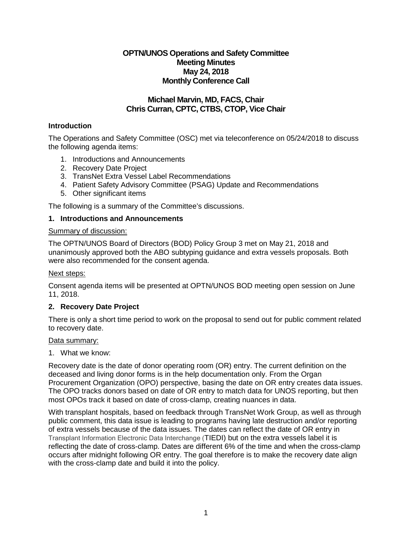# **OPTN/UNOS Operations and Safety Committee Meeting Minutes May 24, 2018 Monthly Conference Call**

# **Michael Marvin, MD, FACS, Chair Chris Curran, CPTC, CTBS, CTOP, Vice Chair**

## **Introduction**

The Operations and Safety Committee (OSC) met via teleconference on 05/24/2018 to discuss the following agenda items:

- 1. Introductions and Announcements
- 2. Recovery Date Project
- 3. TransNet Extra Vessel Label Recommendations
- 4. Patient Safety Advisory Committee (PSAG) Update and Recommendations
- 5. Other significant items

The following is a summary of the Committee's discussions.

## **1. Introductions and Announcements**

### Summary of discussion:

The OPTN/UNOS Board of Directors (BOD) Policy Group 3 met on May 21, 2018 and unanimously approved both the ABO subtyping guidance and extra vessels proposals. Both were also recommended for the consent agenda.

## Next steps:

Consent agenda items will be presented at OPTN/UNOS BOD meeting open session on June 11, 2018.

## **2. Recovery Date Project**

There is only a short time period to work on the proposal to send out for public comment related to recovery date.

#### Data summary:

1. What we know:

Recovery date is the date of donor operating room (OR) entry. The current definition on the deceased and living donor forms is in the help documentation only. From the Organ Procurement Organization (OPO) perspective, basing the date on OR entry creates data issues. The OPO tracks donors based on date of OR entry to match data for UNOS reporting, but then most OPOs track it based on date of cross-clamp, creating nuances in data.

With transplant hospitals, based on feedback through TransNet Work Group, as well as through public comment, this data issue is leading to programs having late destruction and/or reporting of extra vessels because of the data issues. The dates can reflect the date of OR entry in Transplant Information Electronic Data Interchange (TIEDI) but on the extra vessels label it is reflecting the date of cross-clamp. Dates are different 6% of the time and when the cross-clamp occurs after midnight following OR entry. The goal therefore is to make the recovery date align with the cross-clamp date and build it into the policy.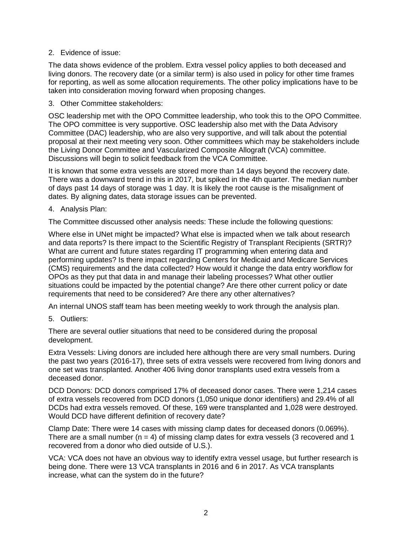### 2. Evidence of issue:

The data shows evidence of the problem. Extra vessel policy applies to both deceased and living donors. The recovery date (or a similar term) is also used in policy for other time frames for reporting, as well as some allocation requirements. The other policy implications have to be taken into consideration moving forward when proposing changes.

3. Other Committee stakeholders:

OSC leadership met with the OPO Committee leadership, who took this to the OPO Committee. The OPO committee is very supportive. OSC leadership also met with the Data Advisory Committee (DAC) leadership, who are also very supportive, and will talk about the potential proposal at their next meeting very soon. Other committees which may be stakeholders include the Living Donor Committee and Vascularized Composite Allograft (VCA) committee. Discussions will begin to solicit feedback from the VCA Committee.

It is known that some extra vessels are stored more than 14 days beyond the recovery date. There was a downward trend in this in 2017, but spiked in the 4th quarter. The median number of days past 14 days of storage was 1 day. It is likely the root cause is the misalignment of dates. By aligning dates, data storage issues can be prevented.

### 4. Analysis Plan:

The Committee discussed other analysis needs: These include the following questions:

Where else in UNet might be impacted? What else is impacted when we talk about research and data reports? Is there impact to the Scientific Registry of Transplant Recipients (SRTR)? What are current and future states regarding IT programming when entering data and performing updates? Is there impact regarding Centers for Medicaid and Medicare Services (CMS) requirements and the data collected? How would it change the data entry workflow for OPOs as they put that data in and manage their labeling processes? What other outlier situations could be impacted by the potential change? Are there other current policy or date requirements that need to be considered? Are there any other alternatives?

An internal UNOS staff team has been meeting weekly to work through the analysis plan.

5. Outliers:

There are several outlier situations that need to be considered during the proposal development.

Extra Vessels: Living donors are included here although there are very small numbers. During the past two years (2016-17), three sets of extra vessels were recovered from living donors and one set was transplanted. Another 406 living donor transplants used extra vessels from a deceased donor.

DCD Donors: DCD donors comprised 17% of deceased donor cases. There were 1,214 cases of extra vessels recovered from DCD donors (1,050 unique donor identifiers) and 29.4% of all DCDs had extra vessels removed. Of these, 169 were transplanted and 1,028 were destroyed. Would DCD have different definition of recovery date?

Clamp Date: There were 14 cases with missing clamp dates for deceased donors (0.069%). There are a small number ( $n = 4$ ) of missing clamp dates for extra vessels (3 recovered and 1 recovered from a donor who died outside of U.S.).

VCA: VCA does not have an obvious way to identify extra vessel usage, but further research is being done. There were 13 VCA transplants in 2016 and 6 in 2017. As VCA transplants increase, what can the system do in the future?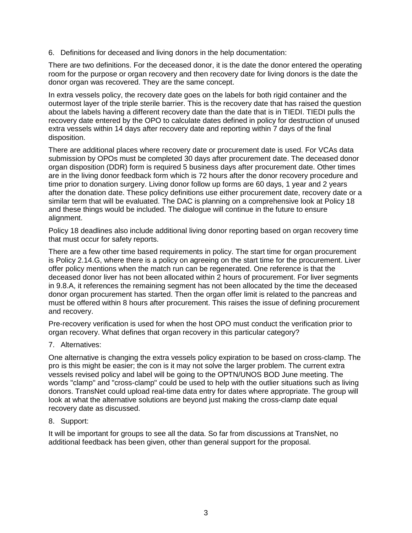6. Definitions for deceased and living donors in the help documentation:

There are two definitions. For the deceased donor, it is the date the donor entered the operating room for the purpose or organ recovery and then recovery date for living donors is the date the donor organ was recovered. They are the same concept.

In extra vessels policy, the recovery date goes on the labels for both rigid container and the outermost layer of the triple sterile barrier. This is the recovery date that has raised the question about the labels having a different recovery date than the date that is in TIEDI. TIEDI pulls the recovery date entered by the OPO to calculate dates defined in policy for destruction of unused extra vessels within 14 days after recovery date and reporting within 7 days of the final disposition.

There are additional places where recovery date or procurement date is used. For VCAs data submission by OPOs must be completed 30 days after procurement date. The deceased donor organ disposition (DDR) form is required 5 business days after procurement date. Other times are in the living donor feedback form which is 72 hours after the donor recovery procedure and time prior to donation surgery. Living donor follow up forms are 60 days, 1 year and 2 years after the donation date. These policy definitions use either procurement date, recovery date or a similar term that will be evaluated. The DAC is planning on a comprehensive look at Policy 18 and these things would be included. The dialogue will continue in the future to ensure alignment.

Policy 18 deadlines also include additional living donor reporting based on organ recovery time that must occur for safety reports.

There are a few other time based requirements in policy. The start time for organ procurement is Policy 2.14.G, where there is a policy on agreeing on the start time for the procurement. Liver offer policy mentions when the match run can be regenerated. One reference is that the deceased donor liver has not been allocated within 2 hours of procurement. For liver segments in 9.8.A, it references the remaining segment has not been allocated by the time the deceased donor organ procurement has started. Then the organ offer limit is related to the pancreas and must be offered within 8 hours after procurement. This raises the issue of defining procurement and recovery.

Pre-recovery verification is used for when the host OPO must conduct the verification prior to organ recovery. What defines that organ recovery in this particular category?

7. Alternatives:

One alternative is changing the extra vessels policy expiration to be based on cross-clamp. The pro is this might be easier; the con is it may not solve the larger problem. The current extra vessels revised policy and label will be going to the OPTN/UNOS BOD June meeting. The words "clamp" and "cross-clamp" could be used to help with the outlier situations such as living donors. TransNet could upload real-time data entry for dates where appropriate. The group will look at what the alternative solutions are beyond just making the cross-clamp date equal recovery date as discussed.

8. Support:

It will be important for groups to see all the data. So far from discussions at TransNet, no additional feedback has been given, other than general support for the proposal.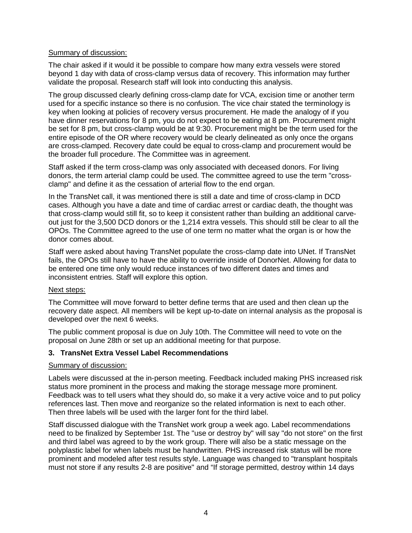## Summary of discussion:

The chair asked if it would it be possible to compare how many extra vessels were stored beyond 1 day with data of cross-clamp versus data of recovery. This information may further validate the proposal. Research staff will look into conducting this analysis.

The group discussed clearly defining cross-clamp date for VCA, excision time or another term used for a specific instance so there is no confusion. The vice chair stated the terminology is key when looking at policies of recovery versus procurement. He made the analogy of if you have dinner reservations for 8 pm, you do not expect to be eating at 8 pm. Procurement might be set for 8 pm, but cross-clamp would be at 9:30. Procurement might be the term used for the entire episode of the OR where recovery would be clearly delineated as only once the organs are cross-clamped. Recovery date could be equal to cross-clamp and procurement would be the broader full procedure. The Committee was in agreement.

Staff asked if the term cross-clamp was only associated with deceased donors. For living donors, the term arterial clamp could be used. The committee agreed to use the term "crossclamp" and define it as the cessation of arterial flow to the end organ.

In the TransNet call, it was mentioned there is still a date and time of cross-clamp in DCD cases. Although you have a date and time of cardiac arrest or cardiac death, the thought was that cross-clamp would still fit, so to keep it consistent rather than building an additional carveout just for the 3,500 DCD donors or the 1,214 extra vessels. This should still be clear to all the OPOs. The Committee agreed to the use of one term no matter what the organ is or how the donor comes about.

Staff were asked about having TransNet populate the cross-clamp date into UNet. If TransNet fails, the OPOs still have to have the ability to override inside of DonorNet. Allowing for data to be entered one time only would reduce instances of two different dates and times and inconsistent entries. Staff will explore this option.

#### Next steps:

The Committee will move forward to better define terms that are used and then clean up the recovery date aspect. All members will be kept up-to-date on internal analysis as the proposal is developed over the next 6 weeks.

The public comment proposal is due on July 10th. The Committee will need to vote on the proposal on June 28th or set up an additional meeting for that purpose.

## **3. TransNet Extra Vessel Label Recommendations**

## Summary of discussion:

Labels were discussed at the in-person meeting. Feedback included making PHS increased risk status more prominent in the process and making the storage message more prominent. Feedback was to tell users what they should do, so make it a very active voice and to put policy references last. Then move and reorganize so the related information is next to each other. Then three labels will be used with the larger font for the third label.

Staff discussed dialogue with the TransNet work group a week ago. Label recommendations need to be finalized by September 1st. The "use or destroy by" will say "do not store" on the first and third label was agreed to by the work group. There will also be a static message on the polyplastic label for when labels must be handwritten. PHS increased risk status will be more prominent and modeled after test results style. Language was changed to "transplant hospitals must not store if any results 2-8 are positive" and "If storage permitted, destroy within 14 days